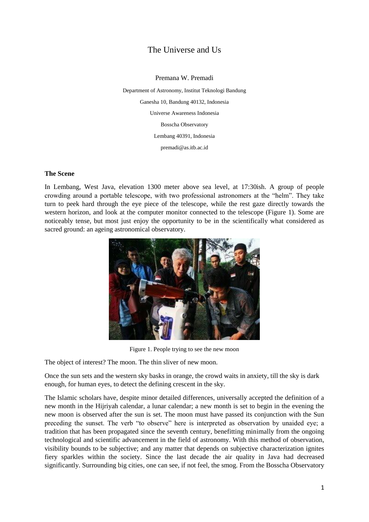## The Universe and Us

Premana W. Premadi

Department of Astronomy, Institut Teknologi Bandung Ganesha 10, Bandung 40132, Indonesia Universe Awareness Indonesia Bosscha Observatory Lembang 40391, Indonesia premadi@as.itb.ac.id

## **The Scene**

In Lembang, West Java, elevation 1300 meter above sea level, at 17:30ish. A group of people crowding around a portable telescope, with two professional astronomers at the "helm". They take turn to peek hard through the eye piece of the telescope, while the rest gaze directly towards the western horizon, and look at the computer monitor connected to the telescope (Figure 1). Some are noticeably tense, but most just enjoy the opportunity to be in the scientifically what considered as sacred ground: an ageing astronomical observatory.



Figure 1. People trying to see the new moon

The object of interest? The moon. The thin sliver of new moon.

Once the sun sets and the western sky basks in orange, the crowd waits in anxiety, till the sky is dark enough, for human eyes, to detect the defining crescent in the sky.

The Islamic scholars have, despite minor detailed differences, universally accepted the definition of a new month in the Hijriyah calendar, a lunar calendar; a new month is set to begin in the evening the new moon is observed after the sun is set. The moon must have passed its conjunction with the Sun preceding the sunset. The verb "to observe" here is interpreted as observation by unaided eye; a tradition that has been propagated since the seventh century, benefitting minimally from the ongoing technological and scientific advancement in the field of astronomy. With this method of observation, visibility bounds to be subjective; and any matter that depends on subjective characterization ignites fiery sparkles within the society. Since the last decade the air quality in Java had decreased significantly. Surrounding big cities, one can see, if not feel, the smog. From the Bosscha Observatory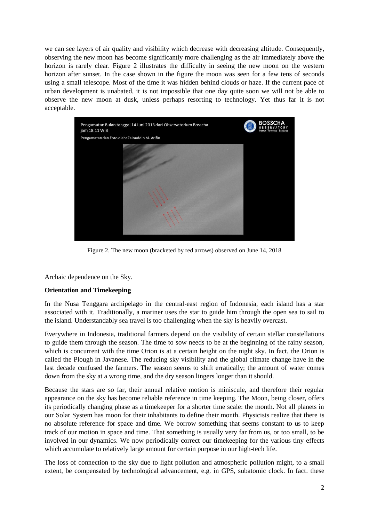we can see layers of air quality and visibility which decrease with decreasing altitude. Consequently, observing the new moon has become significantly more challenging as the air immediately above the horizon is rarely clear. Figure 2 illustrates the difficulty in seeing the new moon on the western horizon after sunset. In the case shown in the figure the moon was seen for a few tens of seconds using a small telescope. Most of the time it was hidden behind clouds or haze. If the current pace of urban development is unabated, it is not impossible that one day quite soon we will not be able to observe the new moon at dusk, unless perhaps resorting to technology. Yet thus far it is not acceptable.



Figure 2. The new moon (bracketed by red arrows) observed on June 14, 2018

Archaic dependence on the Sky.

## **Orientation and Timekeeping**

In the Nusa Tenggara archipelago in the central-east region of Indonesia, each island has a star associated with it. Traditionally, a mariner uses the star to guide him through the open sea to sail to the island. Understandably sea travel is too challenging when the sky is heavily overcast.

Everywhere in Indonesia, traditional farmers depend on the visibility of certain stellar constellations to guide them through the season. The time to sow needs to be at the beginning of the rainy season, which is concurrent with the time Orion is at a certain height on the night sky. In fact, the Orion is called the Plough in Javanese. The reducing sky visibility and the global climate change have in the last decade confused the farmers. The season seems to shift erratically; the amount of water comes down from the sky at a wrong time, and the dry season lingers longer than it should.

Because the stars are so far, their annual relative motion is miniscule, and therefore their regular appearance on the sky has become reliable reference in time keeping. The Moon, being closer, offers its periodically changing phase as a timekeeper for a shorter time scale: the month. Not all planets in our Solar System has moon for their inhabitants to define their month. Physicists realize that there is no absolute reference for space and time. We borrow something that seems constant to us to keep track of our motion in space and time. That something is usually very far from us, or too small, to be involved in our dynamics. We now periodically correct our timekeeping for the various tiny effects which accumulate to relatively large amount for certain purpose in our high-tech life.

The loss of connection to the sky due to light pollution and atmospheric pollution might, to a small extent, be compensated by technological advancement, e.g. in GPS, subatomic clock. In fact. these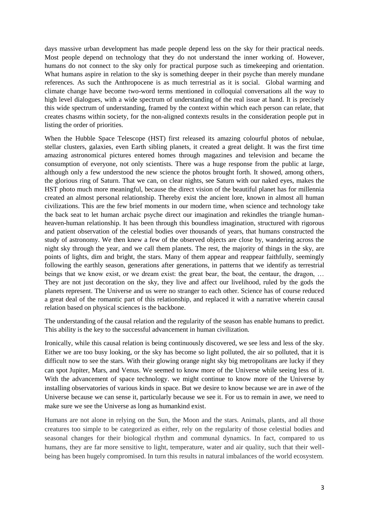days massive urban development has made people depend less on the sky for their practical needs. Most people depend on technology that they do not understand the inner working of. However, humans do not connect to the sky only for practical purpose such as timekeeping and orientation. What humans aspire in relation to the sky is something deeper in their psyche than merely mundane references. As such the Anthropocene is as much terrestrial as it is social. Global warming and climate change have become two-word terms mentioned in colloquial conversations all the way to high level dialogues, with a wide spectrum of understanding of the real issue at hand. It is precisely this wide spectrum of understanding, framed by the context within which each person can relate, that creates chasms within society, for the non-aligned contexts results in the consideration people put in listing the order of priorities.

When the Hubble Space Telescope (HST) first released its amazing colourful photos of nebulae, stellar clusters, galaxies, even Earth sibling planets, it created a great delight. It was the first time amazing astronomical pictures entered homes through magazines and television and became the consumption of everyone, not only scientists. There was a huge response from the public at large, although only a few understood the new science the photos brought forth. It showed, among others, the glorious ring of Saturn. That we can, on clear nights, see Saturn with our naked eyes, makes the HST photo much more meaningful, because the direct vision of the beautiful planet has for millennia created an almost personal relationship. Thereby exist the ancient lore, known in almost all human civilizations. This are the few brief moments in our modern time, when science and technology take the back seat to let human archaic psyche direct our imagination and rekindles the triangle humanheaven-human relationship. It has been through this boundless imagination, structured with rigorous and patient observation of the celestial bodies over thousands of years, that humans constructed the study of astronomy. We then knew a few of the observed objects are close by, wandering across the night sky through the year, and we call them planets. The rest, the majority of things in the sky, are points of lights, dim and bright, the stars. Many of them appear and reappear faithfully, seemingly following the earthly season, generations after generations, in patterns that we identify as terrestrial beings that we know exist, or we dream exist: the great bear, the boat, the centaur, the dragon, … They are not just decoration on the sky, they live and affect our livelihood, ruled by the gods the planets represent. The Universe and us were no stranger to each other. Science has of course reduced a great deal of the romantic part of this relationship, and replaced it with a narrative wherein causal relation based on physical sciences is the backbone.

The understanding of the causal relation and the regularity of the season has enable humans to predict. This ability is the key to the successful advancement in human civilization.

Ironically, while this causal relation is being continuously discovered, we see less and less of the sky. Either we are too busy looking, or the sky has become so light polluted, the air so polluted, that it is difficult now to see the stars. With their glowing orange night sky big metropolitans are lucky if they can spot Jupiter, Mars, and Venus. We seemed to know more of the Universe while seeing less of it. With the advancement of space technology. we might continue to know more of the Universe by installing observatories of various kinds in space. But we desire to know because we are in awe of the Universe because we can sense it, particularly because we see it. For us to remain in awe, we need to make sure we see the Universe as long as humankind exist.

Humans are not alone in relying on the Sun, the Moon and the stars. Animals, plants, and all those creatures too simple to be categorized as either, rely on the regularity of those celestial bodies and seasonal changes for their biological rhythm and communal dynamics. In fact, compared to us humans, they are far more sensitive to light, temperature, water and air quality, such that their wellbeing has been hugely compromised. In turn this results in natural imbalances of the world ecosystem.